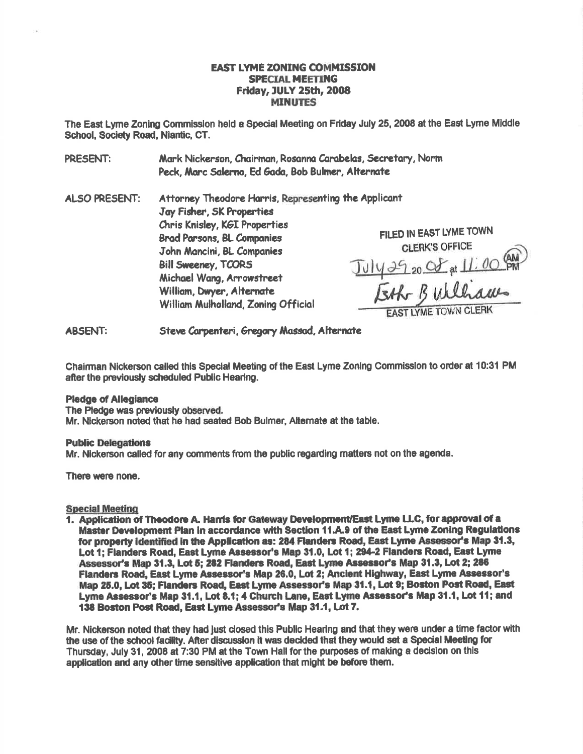# **EAST LYME ZONING COMMISSION SPECIAL MEETING Friday, JULY 25th, 2008 MINUTES**

The East Lyme Zoning Commission held a Special Meeting on Friday July 25, 2008 at the East Lyme Middle School, Society Road, Niantic, CT.

Mark Nickerson, Chairman, Rosanna Carabelas, Secretary, Norm **PRESENT:** Peck, Marc Salerno, Ed Gada, Bob Bulmer, Alternate

**ALSO PRESENT:** Attorney Theodore Harris, Representing the Applicant Jav Fisher, SK Properties Chris Knisley, KGI Properties **Brad Parsons, BL Companies** John Mancini, BL Companies **Bill Sweeney, TCORS** Michael Wang, Arrowstreet William, Dwyer, Alternate William Mulholland, Zoning Official

FILED IN EAST LYME TOWN **CLERK'S OFFICE** July 29 20 Of at 11:00 AM

**ABSENT:** Steve Carpenteri, Gregory Massad, Alternate

Chairman Nickerson called this Special Meeting of the East Lyme Zoning Commission to order at 10:31 PM after the previously scheduled Public Hearing.

#### **Pledge of Allegiance**

The Pledge was previously observed. Mr. Nickerson noted that he had seated Bob Bulmer, Alternate at the table.

### **Public Delegations**

Mr. Nickerson called for any comments from the public regarding matters not on the agenda.

There were none.

## **Special Meeting**

1. Application of Theodore A. Harris for Gateway Development/East Lyme LLC, for approval of a Master Development Plan in accordance with Section 11.A.9 of the East Lyme Zoning Regulations for property identified in the Application as: 284 Flanders Road, East Lyme Assessor's Map 31.3, Lot 1; Flanders Road, East Lyme Assessor's Map 31.0, Lot 1; 294-2 Flanders Road, East Lyme Assessor's Map 31.3. Lot 5: 282 Flanders Road, East Lyme Assessor's Map 31.3, Lot 2; 286 Flanders Road, East Lyme Assessor's Map 26.0, Lot 2; Ancient Highway, East Lyme Assessor's Map 25.0, Lot 35; Flanders Road, East Lyme Assessor's Map 31.1, Lot 9; Boston Post Road, East Lyme Assessor's Map 31.1, Lot 8.1; 4 Church Lane, East Lyme Assessor's Map 31.1, Lot 11; and 138 Boston Post Road, East Lyme Assessor's Map 31.1, Lot 7.

Mr. Nickerson noted that they had just closed this Public Hearing and that they were under a time factor with the use of the school facility. After discussion it was decided that they would set a Special Meeting for Thursday, July 31, 2008 at 7:30 PM at the Town Hall for the purposes of making a decision on this application and any other time sensitive application that might be before them.